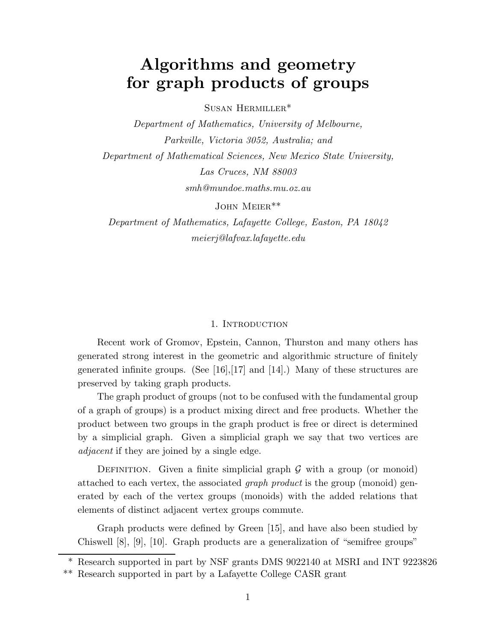# Algorithms and geometry for graph products of groups

Susan Hermiller\*

Department of Mathematics, University of Melbourne, Parkville, Victoria 3052, Australia; and Department of Mathematical Sciences, New Mexico State University, Las Cruces, NM 88003 smh@mundoe.maths.mu.oz.au

John Meier\*\*

Department of Mathematics, Lafayette College, Easton, PA 18042 meierj@lafvax.lafayette.edu

#### 1. INTRODUCTION

Recent work of Gromov, Epstein, Cannon, Thurston and many others has generated strong interest in the geometric and algorithmic structure of finitely generated infinite groups. (See [16], [17] and [14].) Many of these structures are preserved by taking graph products.

The graph product of groups (not to be confused with the fundamental group of a graph of groups) is a product mixing direct and free products. Whether the product between two groups in the graph product is free or direct is determined by a simplicial graph. Given a simplicial graph we say that two vertices are adjacent if they are joined by a single edge.

DEFINITION. Given a finite simplicial graph  $\mathcal G$  with a group (or monoid) attached to each vertex, the associated graph product is the group (monoid) generated by each of the vertex groups (monoids) with the added relations that elements of distinct adjacent vertex groups commute.

Graph products were defined by Green [15], and have also been studied by Chiswell [8], [9], [10]. Graph products are a generalization of "semifree groups"

<sup>\*</sup> Research supported in part by NSF grants DMS 9022140 at MSRI and INT 9223826

<sup>\*\*</sup> Research supported in part by a Lafayette College CASR grant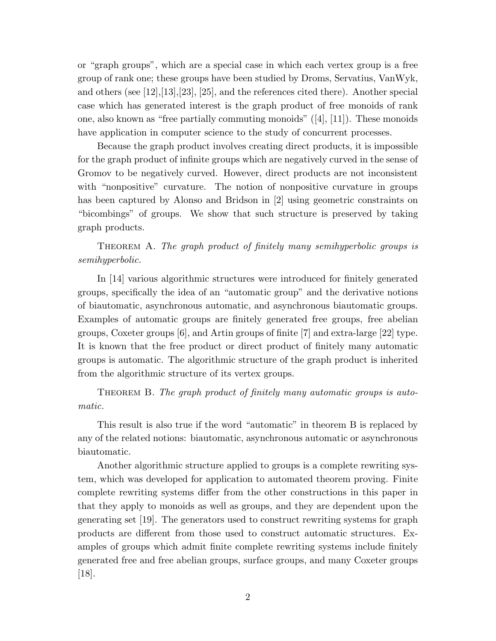or "graph groups", which are a special case in which each vertex group is a free group of rank one; these groups have been studied by Droms, Servatius, VanWyk, and others (see [12],[13],[23], [25], and the references cited there). Another special case which has generated interest is the graph product of free monoids of rank one, also known as "free partially commuting monoids"  $([4], [11])$ . These monoids have application in computer science to the study of concurrent processes.

Because the graph product involves creating direct products, it is impossible for the graph product of infinite groups which are negatively curved in the sense of Gromov to be negatively curved. However, direct products are not inconsistent with "nonpositive" curvature. The notion of nonpositive curvature in groups has been captured by Alonso and Bridson in [2] using geometric constraints on "bicombings" of groups. We show that such structure is preserved by taking graph products.

THEOREM A. The graph product of finitely many semihyperbolic groups is semihyperbolic.

In [14] various algorithmic structures were introduced for finitely generated groups, specifically the idea of an "automatic group" and the derivative notions of biautomatic, asynchronous automatic, and asynchronous biautomatic groups. Examples of automatic groups are finitely generated free groups, free abelian groups, Coxeter groups [6], and Artin groups of finite [7] and extra-large [22] type. It is known that the free product or direct product of finitely many automatic groups is automatic. The algorithmic structure of the graph product is inherited from the algorithmic structure of its vertex groups.

THEOREM B. The graph product of finitely many automatic groups is automatic.

This result is also true if the word "automatic" in theorem B is replaced by any of the related notions: biautomatic, asynchronous automatic or asynchronous biautomatic.

Another algorithmic structure applied to groups is a complete rewriting system, which was developed for application to automated theorem proving. Finite complete rewriting systems differ from the other constructions in this paper in that they apply to monoids as well as groups, and they are dependent upon the generating set [19]. The generators used to construct rewriting systems for graph products are different from those used to construct automatic structures. Examples of groups which admit finite complete rewriting systems include finitely generated free and free abelian groups, surface groups, and many Coxeter groups [18].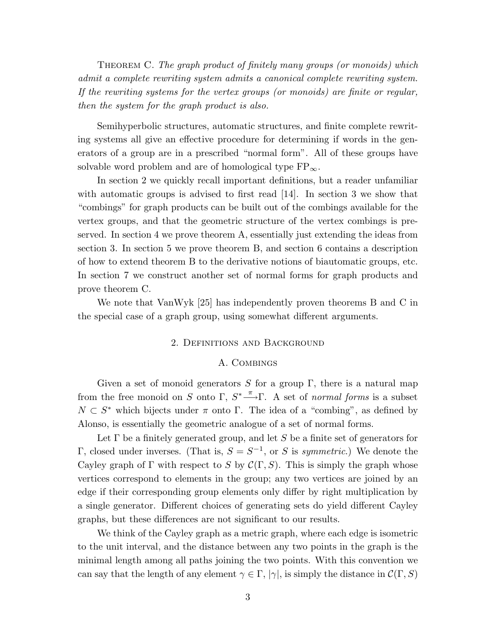THEOREM C. The graph product of finitely many groups (or monoids) which admit a complete rewriting system admits a canonical complete rewriting system. If the rewriting systems for the vertex groups (or monoids) are finite or regular, then the system for the graph product is also.

Semihyperbolic structures, automatic structures, and finite complete rewriting systems all give an effective procedure for determining if words in the generators of a group are in a prescribed "normal form". All of these groups have solvable word problem and are of homological type  $FP_{\infty}$ .

In section 2 we quickly recall important definitions, but a reader unfamiliar with automatic groups is advised to first read [14]. In section 3 we show that "combings" for graph products can be built out of the combings available for the vertex groups, and that the geometric structure of the vertex combings is preserved. In section 4 we prove theorem A, essentially just extending the ideas from section 3. In section 5 we prove theorem B, and section 6 contains a description of how to extend theorem B to the derivative notions of biautomatic groups, etc. In section 7 we construct another set of normal forms for graph products and prove theorem C.

We note that VanWyk [25] has independently proven theorems B and C in the special case of a graph group, using somewhat different arguments.

## 2. Definitions and Background

#### A. Combings

Given a set of monoid generators S for a group  $\Gamma$ , there is a natural map from the free monoid on S onto  $\Gamma$ ,  $S^* \stackrel{\pi}{\longrightarrow} \Gamma$ . A set of *normal forms* is a subset  $N \subset S^*$  which bijects under  $\pi$  onto  $\Gamma$ . The idea of a "combing", as defined by Alonso, is essentially the geometric analogue of a set of normal forms.

Let  $\Gamma$  be a finitely generated group, and let S be a finite set of generators for Γ, closed under inverses. (That is,  $S = S^{-1}$ , or S is symmetric.) We denote the Cayley graph of Γ with respect to S by  $\mathcal{C}(\Gamma, S)$ . This is simply the graph whose vertices correspond to elements in the group; any two vertices are joined by an edge if their corresponding group elements only differ by right multiplication by a single generator. Different choices of generating sets do yield different Cayley graphs, but these differences are not significant to our results.

We think of the Cayley graph as a metric graph, where each edge is isometric to the unit interval, and the distance between any two points in the graph is the minimal length among all paths joining the two points. With this convention we can say that the length of any element  $\gamma \in \Gamma$ ,  $|\gamma|$ , is simply the distance in  $\mathcal{C}(\Gamma, S)$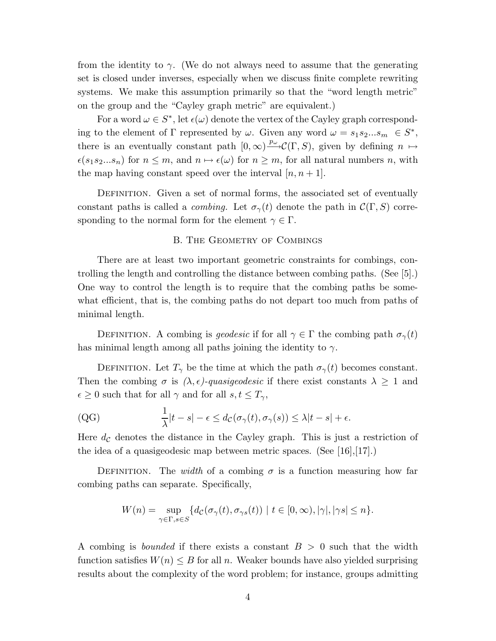from the identity to  $\gamma$ . (We do not always need to assume that the generating set is closed under inverses, especially when we discuss finite complete rewriting systems. We make this assumption primarily so that the "word length metric" on the group and the "Cayley graph metric" are equivalent.)

For a word  $\omega \in S^*$ , let  $\epsilon(\omega)$  denote the vertex of the Cayley graph corresponding to the element of  $\Gamma$  represented by  $\omega$ . Given any word  $\omega = s_1 s_2 ... s_m \in S^*$ , there is an eventually constant path  $[0, \infty) \longrightarrow^{\mathcal{P}\omega} \mathcal{C}(\Gamma, S)$ , given by defining  $n \mapsto$  $\epsilon(s_1s_2...s_n)$  for  $n \leq m$ , and  $n \mapsto \epsilon(\omega)$  for  $n \geq m$ , for all natural numbers n, with the map having constant speed over the interval  $[n, n+1]$ .

DEFINITION. Given a set of normal forms, the associated set of eventually constant paths is called a *combing*. Let  $\sigma_{\gamma}(t)$  denote the path in  $\mathcal{C}(\Gamma, S)$  corresponding to the normal form for the element  $\gamma \in \Gamma$ .

## B. THE GEOMETRY OF COMBINGS

There are at least two important geometric constraints for combings, controlling the length and controlling the distance between combing paths. (See [5].) One way to control the length is to require that the combing paths be somewhat efficient, that is, the combing paths do not depart too much from paths of minimal length.

DEFINITION. A combing is *geodesic* if for all  $\gamma \in \Gamma$  the combing path  $\sigma_{\gamma}(t)$ has minimal length among all paths joining the identity to  $\gamma$ .

DEFINITION. Let  $T_{\gamma}$  be the time at which the path  $\sigma_{\gamma}(t)$  becomes constant. Then the combing  $\sigma$  is  $(\lambda, \epsilon)$ -quasigeodesic if there exist constants  $\lambda \geq 1$  and  $\epsilon\geq 0$  such that for all  $\gamma$  and for all  $s,t\leq T_\gamma,$ 

(QG) 
$$
\frac{1}{\lambda}|t-s|-\epsilon \leq d_{\mathcal{C}}(\sigma_{\gamma}(t),\sigma_{\gamma}(s)) \leq \lambda|t-s|+\epsilon.
$$

Here  $d_{\mathcal{C}}$  denotes the distance in the Cayley graph. This is just a restriction of the idea of a quasigeodesic map between metric spaces. (See [16],[17].)

DEFINITION. The *width* of a combing  $\sigma$  is a function measuring how far combing paths can separate. Specifically,

$$
W(n) = \sup_{\gamma \in \Gamma, s \in S} \{ d_{\mathcal{C}}(\sigma_{\gamma}(t), \sigma_{\gamma s}(t)) \mid t \in [0, \infty), |\gamma|, |\gamma s| \leq n \}.
$$

A combing is *bounded* if there exists a constant  $B > 0$  such that the width function satisfies  $W(n) \leq B$  for all n. Weaker bounds have also yielded surprising results about the complexity of the word problem; for instance, groups admitting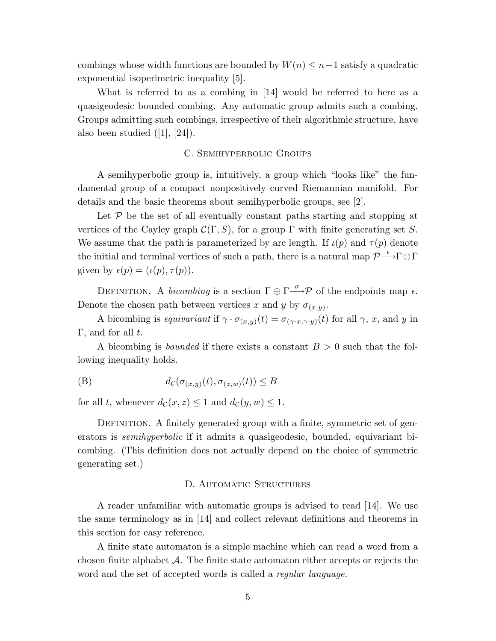combings whose width functions are bounded by  $W(n) \leq n-1$  satisfy a quadratic exponential isoperimetric inequality [5].

What is referred to as a combing in [14] would be referred to here as a quasigeodesic bounded combing. Any automatic group admits such a combing. Groups admitting such combings, irrespective of their algorithmic structure, have also been studied  $([1], [24])$ .

## C. Semihyperbolic Groups

A semihyperbolic group is, intuitively, a group which "looks like" the fundamental group of a compact nonpositively curved Riemannian manifold. For details and the basic theorems about semihyperbolic groups, see [2].

Let  $P$  be the set of all eventually constant paths starting and stopping at vertices of the Cayley graph  $\mathcal{C}(\Gamma, S)$ , for a group  $\Gamma$  with finite generating set S. We assume that the path is parameterized by arc length. If  $\iota(p)$  and  $\tau(p)$  denote the initial and terminal vertices of such a path, there is a natural map  $\mathcal{P}\longrightarrow^{\epsilon}\Gamma\oplus\Gamma$ given by  $\epsilon(p) = (\iota(p), \tau(p)).$ 

DEFINITION. A *bicombing* is a section  $\Gamma \oplus \Gamma \longrightarrow^{\sigma} \mathcal{P}$  of the endpoints map  $\epsilon$ . Denote the chosen path between vertices x and y by  $\sigma_{(x,y)}$ .

A bicombing is equivariant if  $\gamma \cdot \sigma_{(x,y)}(t) = \sigma_{(\gamma \cdot x, \gamma \cdot y)}(t)$  for all  $\gamma$ , x, and y in  $\Gamma$ , and for all t.

A bicombing is *bounded* if there exists a constant  $B > 0$  such that the following inequality holds.

(B) 
$$
d_{\mathcal{C}}(\sigma_{(x,y)}(t), \sigma_{(z,w)}(t)) \leq B
$$

for all t, whenever  $d_{\mathcal{C}}(x, z) \leq 1$  and  $d_{\mathcal{C}}(y, w) \leq 1$ .

DEFINITION. A finitely generated group with a finite, symmetric set of generators is *semihyperbolic* if it admits a quasigeodesic, bounded, equivariant bicombing. (This definition does not actually depend on the choice of symmetric generating set.)

## D. AUTOMATIC STRUCTURES

A reader unfamiliar with automatic groups is advised to read [14]. We use the same terminology as in [14] and collect relevant definitions and theorems in this section for easy reference.

A finite state automaton is a simple machine which can read a word from a chosen finite alphabet  $\mathcal A$ . The finite state automaton either accepts or rejects the word and the set of accepted words is called a *regular language*.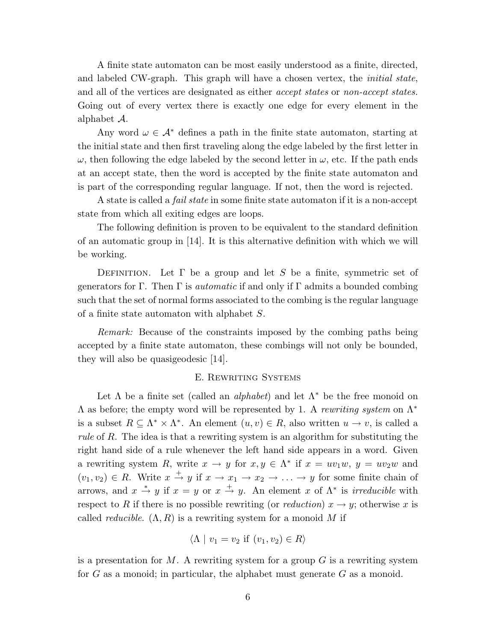A finite state automaton can be most easily understood as a finite, directed, and labeled CW-graph. This graph will have a chosen vertex, the initial state, and all of the vertices are designated as either *accept states* or *non-accept states*. Going out of every vertex there is exactly one edge for every element in the alphabet A.

Any word  $\omega \in A^*$  defines a path in the finite state automaton, starting at the initial state and then first traveling along the edge labeled by the first letter in  $\omega$ , then following the edge labeled by the second letter in  $\omega$ , etc. If the path ends at an accept state, then the word is accepted by the finite state automaton and is part of the corresponding regular language. If not, then the word is rejected.

A state is called a fail state in some finite state automaton if it is a non-accept state from which all exiting edges are loops.

The following definition is proven to be equivalent to the standard definition of an automatic group in [14]. It is this alternative definition with which we will be working.

DEFINITION. Let  $\Gamma$  be a group and let S be a finite, symmetric set of generators for Γ. Then Γ is *automatic* if and only if Γ admits a bounded combing such that the set of normal forms associated to the combing is the regular language of a finite state automaton with alphabet S.

Remark: Because of the constraints imposed by the combing paths being accepted by a finite state automaton, these combings will not only be bounded, they will also be quasigeodesic [14].

#### E. Rewriting Systems

Let  $\Lambda$  be a finite set (called an *alphabet*) and let  $\Lambda^*$  be the free monoid on  $\Lambda$  as before; the empty word will be represented by 1. A rewriting system on  $\Lambda^*$ is a subset  $R \subseteq \Lambda^* \times \Lambda^*$ . An element  $(u, v) \in R$ , also written  $u \to v$ , is called a rule of R. The idea is that a rewriting system is an algorithm for substituting the right hand side of a rule whenever the left hand side appears in a word. Given a rewriting system R, write  $x \to y$  for  $x, y \in \Lambda^*$  if  $x = uv_1w$ ,  $y = uv_2w$  and  $(v_1, v_2) \in R$ . Write  $x \stackrel{+}{\rightarrow} y$  if  $x \rightarrow x_1 \rightarrow x_2 \rightarrow \ldots \rightarrow y$  for some finite chain of arrows, and  $x \stackrel{*}{\rightarrow} y$  if  $x = y$  or  $x \stackrel{+}{\rightarrow} y$ . An element x of  $\Lambda^*$  is *irreducible* with respect to R if there is no possible rewriting (or reduction)  $x \to y$ ; otherwise x is called *reducible.*  $(\Lambda, R)$  is a rewriting system for a monoid M if

$$
\langle \Lambda \mid v_1 = v_2 \text{ if } (v_1, v_2) \in R \rangle
$$

is a presentation for  $M$ . A rewriting system for a group  $G$  is a rewriting system for  $G$  as a monoid; in particular, the alphabet must generate  $G$  as a monoid.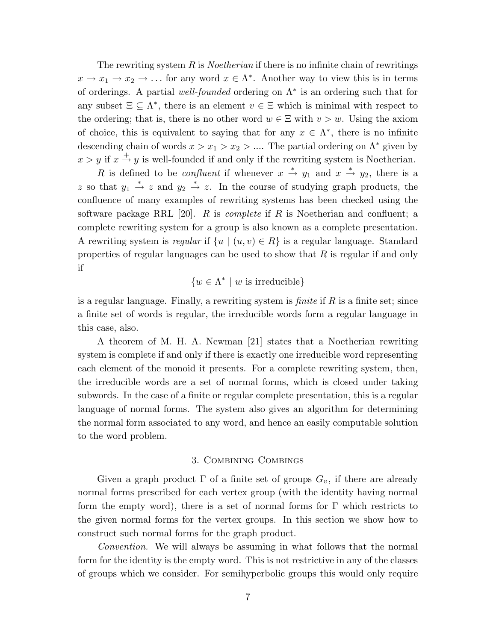The rewriting system R is *Noetherian* if there is no infinite chain of rewritings  $x \to x_1 \to x_2 \to \ldots$  for any word  $x \in \Lambda^*$ . Another way to view this is in terms of orderings. A partial well-founded ordering on  $\Lambda^*$  is an ordering such that for any subset  $\Xi \subseteq \Lambda^*$ , there is an element  $v \in \Xi$  which is minimal with respect to the ordering; that is, there is no other word  $w \in \Xi$  with  $v > w$ . Using the axiom of choice, this is equivalent to saying that for any  $x \in \Lambda^*$ , there is no infinite descending chain of words  $x > x_1 > x_2 > ...$  The partial ordering on  $\Lambda^*$  given by  $x > y$  if  $x \stackrel{+}{\rightarrow} y$  is well-founded if and only if the rewriting system is Noetherian.

R is defined to be *confluent* if whenever  $x \stackrel{*}{\rightarrow} y_1$  and  $x \stackrel{*}{\rightarrow} y_2$ , there is a z so that  $y_1 \stackrel{*}{\rightarrow} z$  and  $y_2 \stackrel{*}{\rightarrow} z$ . In the course of studying graph products, the confluence of many examples of rewriting systems has been checked using the software package RRL [20]. R is *complete* if R is Noetherian and confluent; a complete rewriting system for a group is also known as a complete presentation. A rewriting system is regular if  $\{u \mid (u, v) \in R\}$  is a regular language. Standard properties of regular languages can be used to show that  $R$  is regular if and only if

$$
\{w \in \Lambda^* \mid w \text{ is irreducible}\}\
$$

is a regular language. Finally, a rewriting system is *finite* if  $R$  is a finite set; since a finite set of words is regular, the irreducible words form a regular language in this case, also.

A theorem of M. H. A. Newman [21] states that a Noetherian rewriting system is complete if and only if there is exactly one irreducible word representing each element of the monoid it presents. For a complete rewriting system, then, the irreducible words are a set of normal forms, which is closed under taking subwords. In the case of a finite or regular complete presentation, this is a regular language of normal forms. The system also gives an algorithm for determining the normal form associated to any word, and hence an easily computable solution to the word problem.

## 3. Combining Combings

Given a graph product  $\Gamma$  of a finite set of groups  $G_v$ , if there are already normal forms prescribed for each vertex group (with the identity having normal form the empty word), there is a set of normal forms for  $\Gamma$  which restricts to the given normal forms for the vertex groups. In this section we show how to construct such normal forms for the graph product.

Convention. We will always be assuming in what follows that the normal form for the identity is the empty word. This is not restrictive in any of the classes of groups which we consider. For semihyperbolic groups this would only require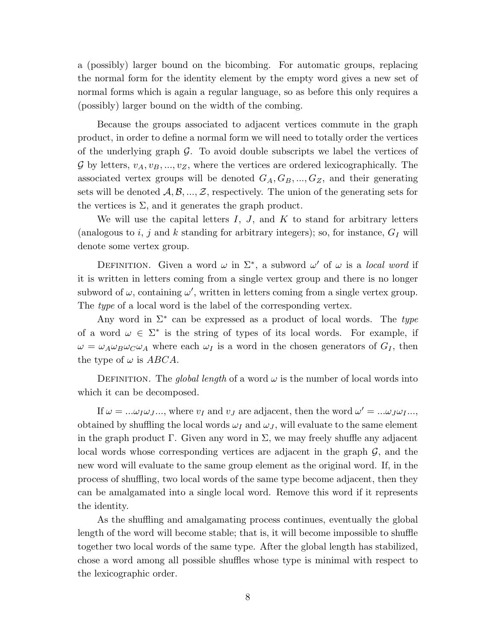a (possibly) larger bound on the bicombing. For automatic groups, replacing the normal form for the identity element by the empty word gives a new set of normal forms which is again a regular language, so as before this only requires a (possibly) larger bound on the width of the combing.

Because the groups associated to adjacent vertices commute in the graph product, in order to define a normal form we will need to totally order the vertices of the underlying graph  $\mathcal G$ . To avoid double subscripts we label the vertices of G by letters,  $v_A, v_B, ..., v_Z$ , where the vertices are ordered lexicographically. The associated vertex groups will be denoted  $G_A, G_B, ..., G_Z$ , and their generating sets will be denoted  $A, B, ..., Z$ , respectively. The union of the generating sets for the vertices is  $\Sigma$ , and it generates the graph product.

We will use the capital letters  $I, J$ , and  $K$  to stand for arbitrary letters (analogous to i, j and k standing for arbitrary integers); so, for instance,  $G_I$  will denote some vertex group.

DEFINITION. Given a word  $\omega$  in  $\Sigma^*$ , a subword  $\omega'$  of  $\omega$  is a local word if it is written in letters coming from a single vertex group and there is no longer subword of  $\omega$ , containing  $\omega'$ , written in letters coming from a single vertex group. The *type* of a local word is the label of the corresponding vertex.

Any word in  $\Sigma^*$  can be expressed as a product of local words. The type of a word  $\omega \in \Sigma^*$  is the string of types of its local words. For example, if  $\omega = \omega_A \omega_B \omega_C \omega_A$  where each  $\omega_I$  is a word in the chosen generators of  $G_I$ , then the type of  $\omega$  is ABCA.

DEFINITION. The global length of a word  $\omega$  is the number of local words into which it can be decomposed.

If  $\omega = ... \omega_I \omega_J ...$ , where  $v_I$  and  $v_J$  are adjacent, then the word  $\omega' = ... \omega_J \omega_I ...$ , obtained by shuffling the local words  $\omega_I$  and  $\omega_J$ , will evaluate to the same element in the graph product  $\Gamma$ . Given any word in  $\Sigma$ , we may freely shuffle any adjacent local words whose corresponding vertices are adjacent in the graph  $\mathcal{G}$ , and the new word will evaluate to the same group element as the original word. If, in the process of shuffling, two local words of the same type become adjacent, then they can be amalgamated into a single local word. Remove this word if it represents the identity.

As the shuffling and amalgamating process continues, eventually the global length of the word will become stable; that is, it will become impossible to shuffle together two local words of the same type. After the global length has stabilized, chose a word among all possible shuffles whose type is minimal with respect to the lexicographic order.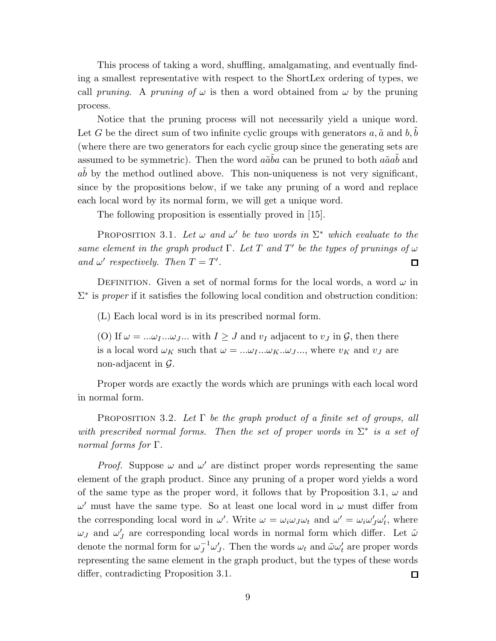This process of taking a word, shuffling, amalgamating, and eventually finding a smallest representative with respect to the ShortLex ordering of types, we call pruning. A pruning of  $\omega$  is then a word obtained from  $\omega$  by the pruning process.

Notice that the pruning process will not necessarily yield a unique word. Let G be the direct sum of two infinite cyclic groups with generators  $a, \tilde{a}$  and  $b, b$ (where there are two generators for each cyclic group since the generating sets are assumed to be symmetric). Then the word  $a\tilde{a}\tilde{b}a$  can be pruned to both  $a\tilde{a}a\tilde{b}$  and  $ab$  by the method outlined above. This non-uniqueness is not very significant, since by the propositions below, if we take any pruning of a word and replace each local word by its normal form, we will get a unique word.

The following proposition is essentially proved in [15].

PROPOSITION 3.1. Let  $\omega$  and  $\omega'$  be two words in  $\Sigma^*$  which evaluate to the same element in the graph product  $\Gamma$ . Let T and T' be the types of prunings of  $\omega$ and  $\omega'$  respectively. Then  $T = T'$ .  $\square$ 

DEFINITION. Given a set of normal forms for the local words, a word  $\omega$  in  $\Sigma^*$  is proper if it satisfies the following local condition and obstruction condition:

(L) Each local word is in its prescribed normal form.

(O) If  $\omega = ... \omega_I ... \omega_J ...$  with  $I \geq J$  and  $v_I$  adjacent to  $v_J$  in  $\mathcal{G}$ , then there is a local word  $\omega_K$  such that  $\omega = ... \omega_I ... \omega_K ... \omega_J ...$ , where  $v_K$  and  $v_J$  are non-adjacent in  $\mathcal{G}$ .

Proper words are exactly the words which are prunings with each local word in normal form.

PROPOSITION 3.2. Let  $\Gamma$  be the graph product of a finite set of groups, all with prescribed normal forms. Then the set of proper words in  $\Sigma^*$  is a set of normal forms for Γ.

*Proof.* Suppose  $\omega$  and  $\omega'$  are distinct proper words representing the same element of the graph product. Since any pruning of a proper word yields a word of the same type as the proper word, it follows that by Proposition 3.1,  $\omega$  and  $\omega'$  must have the same type. So at least one local word in  $\omega$  must differ from the corresponding local word in  $\omega'$ . Write  $\omega = \omega_i \omega_j \omega_t$  and  $\omega' = \omega_i \omega'_j \omega'_t$  $t<sub>t</sub>$ , where  $\omega_J$  and  $\omega'_J$  $J_J$  are corresponding local words in normal form which differ. Let  $\tilde{\omega}$ denote the normal form for  $\omega_J^{-1} \omega'_J$ *J*. Then the words  $\omega_t$  and  $\tilde{\omega}\omega'_t$  are proper words representing the same element in the graph product, but the types of these words differ, contradicting Proposition 3.1. 口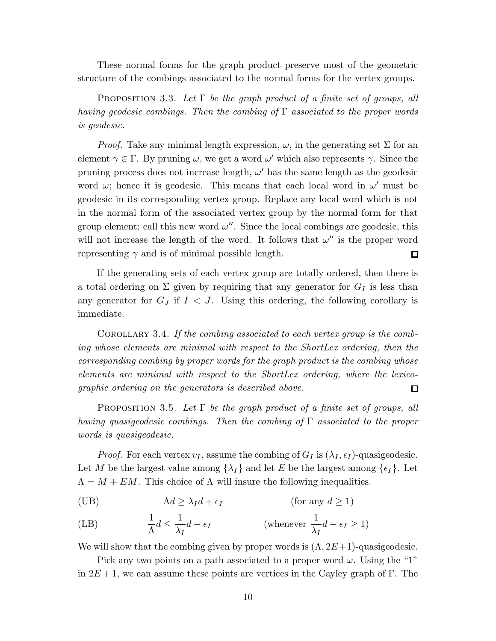These normal forms for the graph product preserve most of the geometric structure of the combings associated to the normal forms for the vertex groups.

PROPOSITION 3.3. Let  $\Gamma$  be the graph product of a finite set of groups, all having geodesic combings. Then the combing of  $\Gamma$  associated to the proper words is geodesic.

*Proof.* Take any minimal length expression,  $\omega$ , in the generating set  $\Sigma$  for an element  $\gamma \in \Gamma$ . By pruning  $\omega$ , we get a word  $\omega'$  which also represents  $\gamma$ . Since the pruning process does not increase length,  $\omega'$  has the same length as the geodesic word  $\omega$ ; hence it is geodesic. This means that each local word in  $\omega'$  must be geodesic in its corresponding vertex group. Replace any local word which is not in the normal form of the associated vertex group by the normal form for that group element; call this new word  $\omega''$ . Since the local combings are geodesic, this will not increase the length of the word. It follows that  $\omega''$  is the proper word representing  $\gamma$  and is of minimal possible length.  $\Box$ 

If the generating sets of each vertex group are totally ordered, then there is a total ordering on  $\Sigma$  given by requiring that any generator for  $G_I$  is less than any generator for  $G_J$  if  $I < J$ . Using this ordering, the following corollary is immediate.

COROLLARY 3.4. If the combing associated to each vertex group is the combing whose elements are minimal with respect to the ShortLex ordering, then the corresponding combing by proper words for the graph product is the combing whose elements are minimal with respect to the ShortLex ordering, where the lexicographic ordering on the generators is described above. 口

PROPOSITION 3.5. Let  $\Gamma$  be the graph product of a finite set of groups, all having quasigeodesic combings. Then the combing of Γ associated to the proper words is quasigeodesic.

*Proof.* For each vertex  $v_I$ , assume the combing of  $G_I$  is  $(\lambda_I, \epsilon_I)$ -quasigeodesic. Let M be the largest value among  $\{\lambda_I\}$  and let E be the largest among  $\{\epsilon_I\}$ . Let  $\Lambda = M + EM$ . This choice of  $\Lambda$  will insure the following inequalities.

(UB) Λd ≥ λId + <sup>I</sup> (for any d ≥ 1)

(LB) 
$$
\frac{1}{\Lambda}d \le \frac{1}{\lambda_I}d - \epsilon_I
$$
 (whenever  $\frac{1}{\lambda_I}d - \epsilon_I \ge 1$ )

We will show that the combing given by proper words is  $(\Lambda, 2E+1)$ -quasigeodesic.

Pick any two points on a path associated to a proper word  $\omega$ . Using the "1" in  $2E+1$ , we can assume these points are vertices in the Cayley graph of Γ. The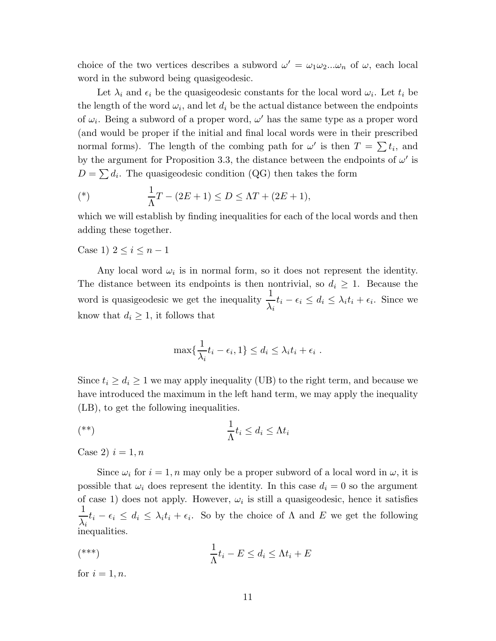choice of the two vertices describes a subword  $\omega' = \omega_1 \omega_2 ... \omega_n$  of  $\omega$ , each local word in the subword being quasigeodesic.

Let  $\lambda_i$  and  $\epsilon_i$  be the quasigeodesic constants for the local word  $\omega_i$ . Let  $t_i$  be the length of the word  $\omega_i$ , and let  $d_i$  be the actual distance between the endpoints of  $\omega_i$ . Being a subword of a proper word,  $\omega'$  has the same type as a proper word (and would be proper if the initial and final local words were in their prescribed normal forms). The length of the combing path for  $\omega'$  is then  $T = \sum t_i$ , and by the argument for Proposition 3.3, the distance between the endpoints of  $\omega'$  is  $D = \sum d_i$ . The quasigeodesic condition (QG) then takes the form

(\*) 
$$
\frac{1}{\Lambda}T - (2E + 1) \le D \le \Lambda T + (2E + 1),
$$

which we will establish by finding inequalities for each of the local words and then adding these together.

Case 1)  $2 \le i \le n-1$ 

Any local word  $\omega_i$  is in normal form, so it does not represent the identity. The distance between its endpoints is then nontrivial, so  $d_i \geq 1$ . Because the word is quasigeodesic we get the inequality  $\frac{1}{1}$  $\lambda_i$  $t_i - \epsilon_i \leq d_i \leq \lambda_i t_i + \epsilon_i$ . Since we know that  $d_i \geq 1$ , it follows that

$$
\max\{\frac{1}{\lambda_i}t_i-\epsilon_i, 1\} \leq d_i \leq \lambda_i t_i + \epsilon_i.
$$

Since  $t_i \geq d_i \geq 1$  we may apply inequality (UB) to the right term, and because we have introduced the maximum in the left hand term, we may apply the inequality (LB), to get the following inequalities.

$$
(*)\qquad \qquad \frac{1}{\Lambda}t_i\leq d_i\leq \Lambda t_i
$$

Case 2)  $i = 1, n$ 

Since  $\omega_i$  for  $i = 1, n$  may only be a proper subword of a local word in  $\omega$ , it is possible that  $\omega_i$  does represent the identity. In this case  $d_i = 0$  so the argument of case 1) does not apply. However,  $\omega_i$  is still a quasigeodesic, hence it satisfies 1  $\lambda_i$  $t_i - \epsilon_i \leq d_i \leq \lambda_i t_i + \epsilon_i$ . So by the choice of  $\Lambda$  and  $E$  we get the following inequalities.

$$
\frac{1}{\Lambda}t_i - E \le d_i \le \Lambda t_i + E
$$

for  $i = 1, n$ .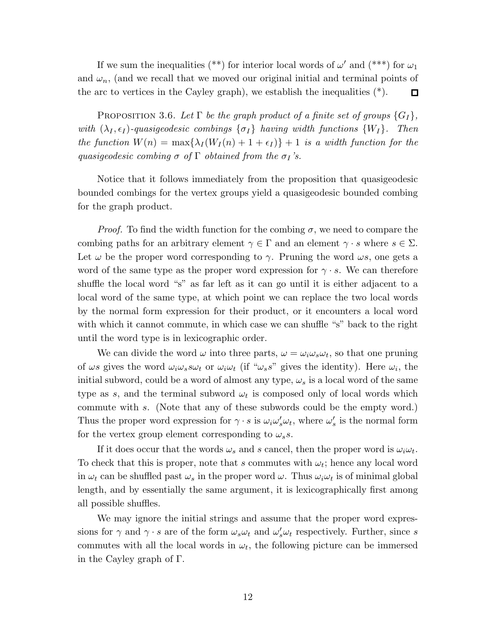If we sum the inequalities (\*\*) for interior local words of  $\omega'$  and (\*\*\*) for  $\omega_1$ and  $\omega_n$ , (and we recall that we moved our original initial and terminal points of the arc to vertices in the Cayley graph), we establish the inequalities  $(*)$ .  $\Box$ 

PROPOSITION 3.6. Let  $\Gamma$  be the graph product of a finite set of groups  $\{G_I\}$ , with  $(\lambda_I, \epsilon_I)$ -quasigeodesic combings  $\{\sigma_I\}$  having width functions  $\{W_I\}$ . Then the function  $W(n) = \max\{\lambda_I(W_I(n) + 1 + \epsilon_I)\} + 1$  is a width function for the quasigeodesic combing  $\sigma$  of  $\Gamma$  obtained from the  $\sigma_I$ 's.

Notice that it follows immediately from the proposition that quasigeodesic bounded combings for the vertex groups yield a quasigeodesic bounded combing for the graph product.

*Proof.* To find the width function for the combing  $\sigma$ , we need to compare the combing paths for an arbitrary element  $\gamma \in \Gamma$  and an element  $\gamma \cdot s$  where  $s \in \Sigma$ . Let  $\omega$  be the proper word corresponding to  $\gamma$ . Pruning the word  $\omega s$ , one gets a word of the same type as the proper word expression for  $\gamma \cdot s$ . We can therefore shuffle the local word "s" as far left as it can go until it is either adjacent to a local word of the same type, at which point we can replace the two local words by the normal form expression for their product, or it encounters a local word with which it cannot commute, in which case we can shuffle "s" back to the right until the word type is in lexicographic order.

We can divide the word  $\omega$  into three parts,  $\omega = \omega_i \omega_s \omega_t$ , so that one pruning of  $\omega s$  gives the word  $\omega_i \omega_s s \omega_t$  or  $\omega_i \omega_t$  (if " $\omega_s s$ " gives the identity). Here  $\omega_i$ , the initial subword, could be a word of almost any type,  $\omega_s$  is a local word of the same type as s, and the terminal subword  $\omega_t$  is composed only of local words which commute with s. (Note that any of these subwords could be the empty word.) Thus the proper word expression for  $\gamma \cdot s$  is  $\omega_i \omega_s' \omega_t$ , where  $\omega_s'$  $s'$  is the normal form for the vertex group element corresponding to  $\omega_s s$ .

If it does occur that the words  $\omega_s$  and s cancel, then the proper word is  $\omega_i \omega_t$ . To check that this is proper, note that s commutes with  $\omega_t$ ; hence any local word in  $\omega_t$  can be shuffled past  $\omega_s$  in the proper word  $\omega$ . Thus  $\omega_i\omega_t$  is of minimal global length, and by essentially the same argument, it is lexicographically first among all possible shuffles.

We may ignore the initial strings and assume that the proper word expressions for  $\gamma$  and  $\gamma \cdot s$  are of the form  $\omega_s \omega_t$  and  $\omega'_s \omega_t$  respectively. Further, since s commutes with all the local words in  $\omega_t$ , the following picture can be immersed in the Cayley graph of Γ.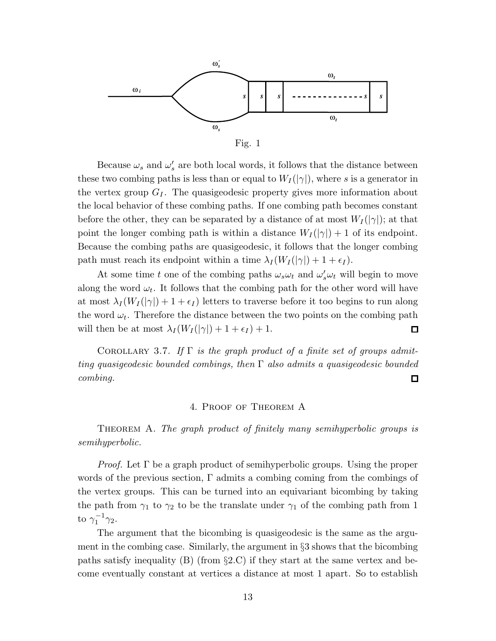

Fig. 1

Because  $\omega_s$  and  $\omega'_s$  are both local words, it follows that the distance between these two combing paths is less than or equal to  $W_I(|\gamma|)$ , where s is a generator in the vertex group  $G<sub>I</sub>$ . The quasigeodesic property gives more information about the local behavior of these combing paths. If one combing path becomes constant before the other, they can be separated by a distance of at most  $W_I(|\gamma|)$ ; at that point the longer combing path is within a distance  $W_I(|\gamma|) + 1$  of its endpoint. Because the combing paths are quasigeodesic, it follows that the longer combing path must reach its endpoint within a time  $\lambda_I (W_I(|\gamma|) + 1 + \epsilon_I)$ .

At some time t one of the combing paths  $\omega_s \omega_t$  and  $\omega_s' \omega_t$  will begin to move along the word  $\omega_t$ . It follows that the combing path for the other word will have at most  $\lambda_I (W_I(|\gamma|) + 1 + \epsilon_I)$  letters to traverse before it too begins to run along the word  $\omega_t$ . Therefore the distance between the two points on the combing path will then be at most  $\lambda_I(W_I(|\gamma|) + 1 + \epsilon_I) + 1$ . □

COROLLARY 3.7. If  $\Gamma$  is the graph product of a finite set of groups admitting quasigeodesic bounded combings, then  $\Gamma$  also admits a quasigeodesic bounded combing.  $\Box$ 

## 4. Proof of Theorem A

THEOREM A. The graph product of finitely many semihyperbolic groups is semihyperbolic.

*Proof.* Let  $\Gamma$  be a graph product of semihyperbolic groups. Using the proper words of the previous section, Γ admits a combing coming from the combings of the vertex groups. This can be turned into an equivariant bicombing by taking the path from  $\gamma_1$  to  $\gamma_2$  to be the translate under  $\gamma_1$  of the combing path from 1 to  $\gamma_1^{-1}$  $\frac{1}{1}^{-1}\gamma_2.$ 

The argument that the bicombing is quasigeodesic is the same as the argument in the combing case. Similarly, the argument in §3 shows that the bicombing paths satisfy inequality (B) (from  $\S 2.C$ ) if they start at the same vertex and become eventually constant at vertices a distance at most 1 apart. So to establish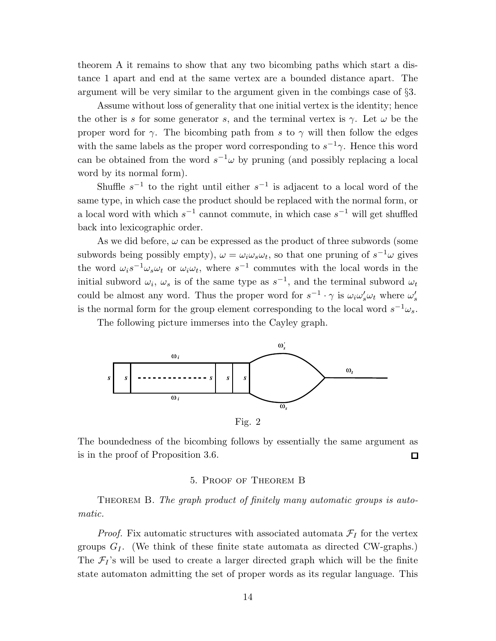theorem A it remains to show that any two bicombing paths which start a distance 1 apart and end at the same vertex are a bounded distance apart. The argument will be very similar to the argument given in the combings case of §3.

Assume without loss of generality that one initial vertex is the identity; hence the other is s for some generator s, and the terminal vertex is  $\gamma$ . Let  $\omega$  be the proper word for  $\gamma$ . The bicombing path from s to  $\gamma$  will then follow the edges with the same labels as the proper word corresponding to  $s^{-1}\gamma$ . Hence this word can be obtained from the word  $s^{-1}\omega$  by pruning (and possibly replacing a local word by its normal form).

Shuffle  $s^{-1}$  to the right until either  $s^{-1}$  is adjacent to a local word of the same type, in which case the product should be replaced with the normal form, or a local word with which  $s^{-1}$  cannot commute, in which case  $s^{-1}$  will get shuffled back into lexicographic order.

As we did before,  $\omega$  can be expressed as the product of three subwords (some subwords being possibly empty),  $\omega = \omega_i \omega_s \omega_t$ , so that one pruning of  $s^{-1}\omega$  gives the word  $\omega_i s^{-1} \omega_s \omega_t$  or  $\omega_i \omega_t$ , where  $s^{-1}$  commutes with the local words in the initial subword  $\omega_i$ ,  $\omega_s$  is of the same type as  $s^{-1}$ , and the terminal subword  $\omega_t$ could be almost any word. Thus the proper word for  $s^{-1} \cdot \gamma$  is  $\omega_i \omega_s' \omega_t$  where  $\omega_s'$ s is the normal form for the group element corresponding to the local word  $s^{-1}\omega_s$ .

The following picture immerses into the Cayley graph.



Fig. 2

The boundedness of the bicombing follows by essentially the same argument as is in the proof of Proposition 3.6.  $\Box$ 

## 5. Proof of Theorem B

THEOREM B. The graph product of finitely many automatic groups is automatic.

*Proof.* Fix automatic structures with associated automata  $\mathcal{F}_I$  for the vertex groups  $G_I$ . (We think of these finite state automata as directed CW-graphs.) The  $\mathcal{F}_I$ 's will be used to create a larger directed graph which will be the finite state automaton admitting the set of proper words as its regular language. This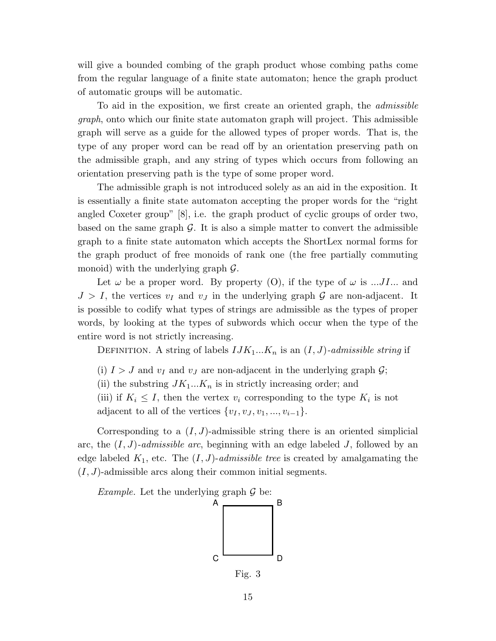will give a bounded combing of the graph product whose combing paths come from the regular language of a finite state automaton; hence the graph product of automatic groups will be automatic.

To aid in the exposition, we first create an oriented graph, the admissible graph, onto which our finite state automaton graph will project. This admissible graph will serve as a guide for the allowed types of proper words. That is, the type of any proper word can be read off by an orientation preserving path on the admissible graph, and any string of types which occurs from following an orientation preserving path is the type of some proper word.

The admissible graph is not introduced solely as an aid in the exposition. It is essentially a finite state automaton accepting the proper words for the "right angled Coxeter group" [8], i.e. the graph product of cyclic groups of order two, based on the same graph  $\mathcal{G}$ . It is also a simple matter to convert the admissible graph to a finite state automaton which accepts the ShortLex normal forms for the graph product of free monoids of rank one (the free partially commuting monoid) with the underlying graph  $\mathcal{G}$ .

Let  $\omega$  be a proper word. By property (O), if the type of  $\omega$  is ... J... and  $J > I$ , the vertices  $v_I$  and  $v_J$  in the underlying graph G are non-adjacent. It is possible to codify what types of strings are admissible as the types of proper words, by looking at the types of subwords which occur when the type of the entire word is not strictly increasing.

DEFINITION. A string of labels  $IJK_1...K_n$  is an  $(I, J)$ -admissible string if

(i)  $I > J$  and  $v_I$  and  $v_J$  are non-adjacent in the underlying graph  $\mathcal{G}$ ;

(ii) the substring  $JK_1...K_n$  is in strictly increasing order; and

(iii) if  $K_i \leq I$ , then the vertex  $v_i$  corresponding to the type  $K_i$  is not

adjacent to all of the vertices  $\{v_1, v_1, v_1, ..., v_{i-1}\}.$ 

Corresponding to a  $(I, J)$ -admissible string there is an oriented simplicial arc, the  $(I, J)$ -admissible arc, beginning with an edge labeled J, followed by an edge labeled  $K_1$ , etc. The  $(I, J)$ -admissible tree is created by amalgamating the  $(I, J)$ -admissible arcs along their common initial segments.

*Example.* Let the underlying graph  $\mathcal G$  be:

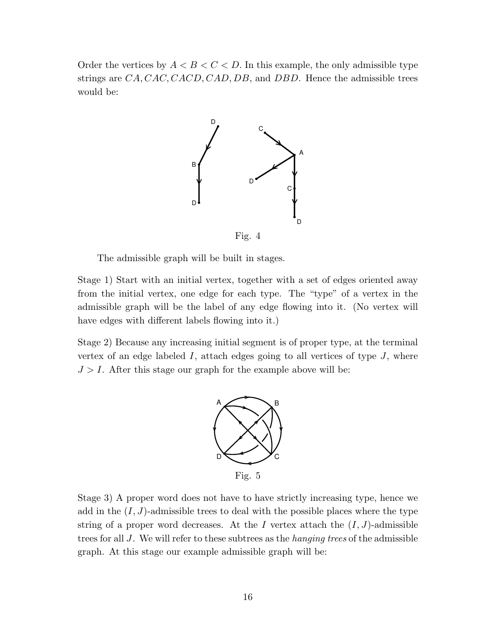Order the vertices by  $A < B < C < D$ . In this example, the only admissible type strings are  $CA, CAC, CACD, CAD, DB$ , and DBD. Hence the admissible trees would be:



Fig. 4

The admissible graph will be built in stages.

Stage 1) Start with an initial vertex, together with a set of edges oriented away from the initial vertex, one edge for each type. The "type" of a vertex in the admissible graph will be the label of any edge flowing into it. (No vertex will have edges with different labels flowing into it.)

Stage 2) Because any increasing initial segment is of proper type, at the terminal vertex of an edge labeled  $I$ , attach edges going to all vertices of type  $J$ , where  $J > I$ . After this stage our graph for the example above will be:



Stage 3) A proper word does not have to have strictly increasing type, hence we add in the  $(I, J)$ -admissible trees to deal with the possible places where the type string of a proper word decreases. At the I vertex attach the  $(I, J)$ -admissible trees for all J. We will refer to these subtrees as the *hanging trees* of the admissible graph. At this stage our example admissible graph will be: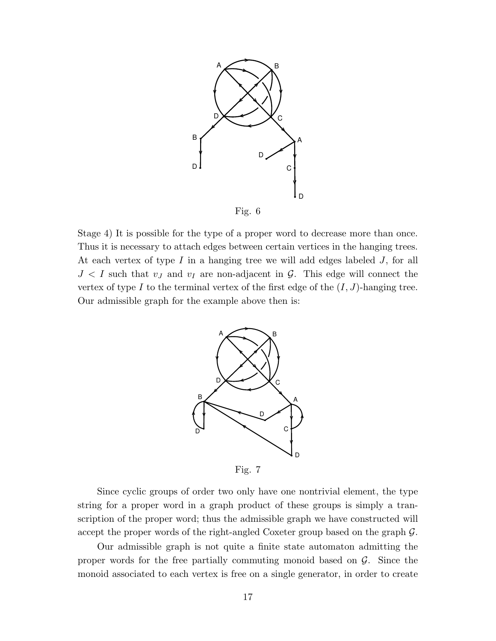

Stage 4) It is possible for the type of a proper word to decrease more than once. Thus it is necessary to attach edges between certain vertices in the hanging trees. At each vertex of type I in a hanging tree we will add edges labeled J, for all  $J < I$  such that  $v_J$  and  $v_I$  are non-adjacent in  $\mathcal{G}$ . This edge will connect the vertex of type I to the terminal vertex of the first edge of the  $(I, J)$ -hanging tree. Our admissible graph for the example above then is:



Fig. 7

Since cyclic groups of order two only have one nontrivial element, the type string for a proper word in a graph product of these groups is simply a transcription of the proper word; thus the admissible graph we have constructed will accept the proper words of the right-angled Coxeter group based on the graph G.

Our admissible graph is not quite a finite state automaton admitting the proper words for the free partially commuting monoid based on  $G$ . Since the monoid associated to each vertex is free on a single generator, in order to create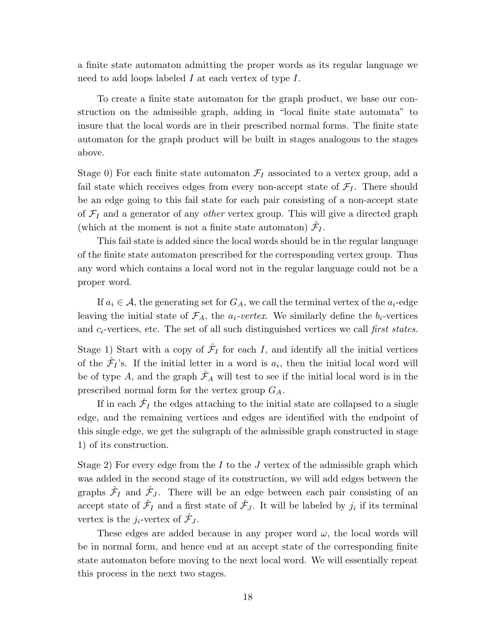a finite state automaton admitting the proper words as its regular language we need to add loops labeled  $I$  at each vertex of type  $I$ .

To create a finite state automaton for the graph product, we base our construction on the admissible graph, adding in "local finite state automata" to insure that the local words are in their prescribed normal forms. The finite state automaton for the graph product will be built in stages analogous to the stages above.

Stage 0) For each finite state automaton  $\mathcal{F}_I$  associated to a vertex group, add a fail state which receives edges from every non-accept state of  $\mathcal{F}_{I}$ . There should be an edge going to this fail state for each pair consisting of a non-accept state of  $\mathcal{F}_I$  and a generator of any *other* vertex group. This will give a directed graph (which at the moment is not a finite state automaton)  $\hat{\mathcal{F}}_I$ .

This fail state is added since the local words should be in the regular language of the finite state automaton prescribed for the corresponding vertex group. Thus any word which contains a local word not in the regular language could not be a proper word.

If  $a_i \in \mathcal{A}$ , the generating set for  $G_A$ , we call the terminal vertex of the  $a_i$ -edge leaving the initial state of  $\mathcal{F}_A$ , the  $a_i$ -vertex. We similarly define the  $b_i$ -vertices and  $c_i$ -vertices, etc. The set of all such distinguished vertices we call first states.

Stage 1) Start with a copy of  $\hat{\mathcal{F}}_I$  for each I, and identify all the initial vertices of the  $\hat{\mathcal{F}}_I$ 's. If the initial letter in a word is  $a_i$ , then the initial local word will be of type A, and the graph  $\hat{\mathcal{F}}_A$  will test to see if the initial local word is in the prescribed normal form for the vertex group  $G_A$ .

If in each  $\hat{\mathcal{F}}_I$  the edges attaching to the initial state are collapsed to a single edge, and the remaining vertices and edges are identified with the endpoint of this single edge, we get the subgraph of the admissible graph constructed in stage 1) of its construction.

Stage 2) For every edge from the I to the J vertex of the admissible graph which was added in the second stage of its construction, we will add edges between the graphs  $\hat{\mathcal{F}}_I$  and  $\hat{\mathcal{F}}_J$ . There will be an edge between each pair consisting of an accept state of  $\hat{\mathcal{F}}_I$  and a first state of  $\hat{\mathcal{F}}_J$ . It will be labeled by  $j_i$  if its terminal vertex is the  $j_i$ -vertex of  $\hat{\mathcal{F}}_J$ .

These edges are added because in any proper word  $\omega$ , the local words will be in normal form, and hence end at an accept state of the corresponding finite state automaton before moving to the next local word. We will essentially repeat this process in the next two stages.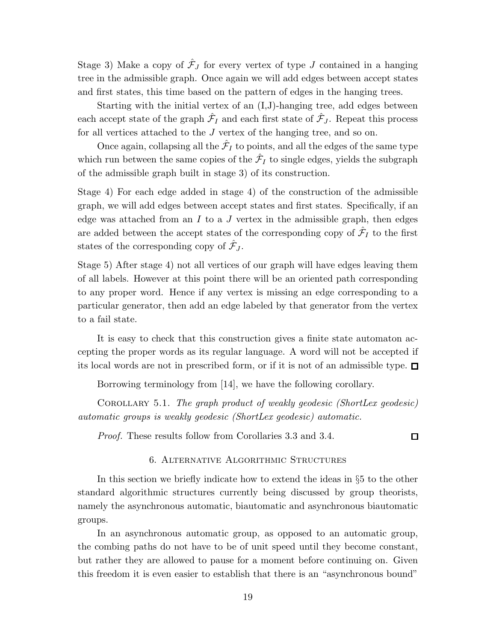Stage 3) Make a copy of  $\hat{\mathcal{F}}_J$  for every vertex of type  $J$  contained in a hanging tree in the admissible graph. Once again we will add edges between accept states and first states, this time based on the pattern of edges in the hanging trees.

Starting with the initial vertex of an (I,J)-hanging tree, add edges between each accept state of the graph  $\hat{\mathcal{F}}_I$  and each first state of  $\hat{\mathcal{F}}_J$ . Repeat this process for all vertices attached to the J vertex of the hanging tree, and so on.

Once again, collapsing all the  $\hat{\mathcal{F}}_I$  to points, and all the edges of the same type which run between the same copies of the  $\hat{\mathcal{F}}_I$  to single edges, yields the subgraph of the admissible graph built in stage 3) of its construction.

Stage 4) For each edge added in stage 4) of the construction of the admissible graph, we will add edges between accept states and first states. Specifically, if an edge was attached from an I to a J vertex in the admissible graph, then edges are added between the accept states of the corresponding copy of  $\hat{\mathcal{F}}_I$  to the first states of the corresponding copy of  $\hat{\mathcal{F}}_J$ .

Stage 5) After stage 4) not all vertices of our graph will have edges leaving them of all labels. However at this point there will be an oriented path corresponding to any proper word. Hence if any vertex is missing an edge corresponding to a particular generator, then add an edge labeled by that generator from the vertex to a fail state.

It is easy to check that this construction gives a finite state automaton accepting the proper words as its regular language. A word will not be accepted if its local words are not in prescribed form, or if it is not of an admissible type.  $\Box$ 

Borrowing terminology from [14], we have the following corollary.

Corollary 5.1. The graph product of weakly geodesic (ShortLex geodesic) automatic groups is weakly geodesic (ShortLex geodesic) automatic.

Proof. These results follow from Corollaries 3.3 and 3.4.

## $\Box$

### 6. Alternative Algorithmic Structures

In this section we briefly indicate how to extend the ideas in §5 to the other standard algorithmic structures currently being discussed by group theorists, namely the asynchronous automatic, biautomatic and asynchronous biautomatic groups.

In an asynchronous automatic group, as opposed to an automatic group, the combing paths do not have to be of unit speed until they become constant, but rather they are allowed to pause for a moment before continuing on. Given this freedom it is even easier to establish that there is an "asynchronous bound"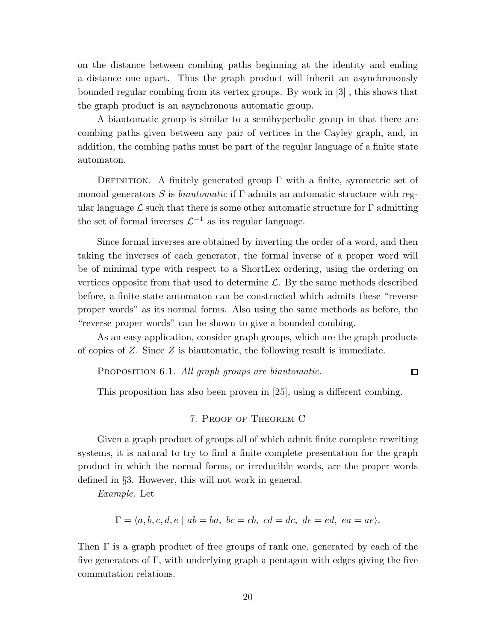on the distance between combing paths beginning at the identity and ending a distance one apart. Thus the graph product will inherit an asynchronously bounded regular combing from its vertex groups. By work in [3] , this shows that the graph product is an asynchronous automatic group.

A biautomatic group is similar to a semihyperbolic group in that there are combing paths given between any pair of vertices in the Cayley graph, and, in addition, the combing paths must be part of the regular language of a finite state automaton.

DEFINITION. A finitely generated group  $\Gamma$  with a finite, symmetric set of monoid generators S is *biautomatic* if  $\Gamma$  admits an automatic structure with regular language  $\mathcal L$  such that there is some other automatic structure for  $\Gamma$  admitting the set of formal inverses  $\mathcal{L}^{-1}$  as its regular language.

Since formal inverses are obtained by inverting the order of a word, and then taking the inverses of each generator, the formal inverse of a proper word will be of minimal type with respect to a ShortLex ordering, using the ordering on vertices opposite from that used to determine  $\mathcal{L}$ . By the same methods described before, a finite state automaton can be constructed which admits these "reverse proper words" as its normal forms. Also using the same methods as before, the "reverse proper words" can be shown to give a bounded combing.

As an easy application, consider graph groups, which are the graph products of copies of  $Z$ . Since  $Z$  is biautomatic, the following result is immediate.

PROPOSITION 6.1. All graph groups are biautomatic.

This proposition has also been proven in [25], using a different combing.

 $\Box$ 

## 7. Proof of Theorem C

Given a graph product of groups all of which admit finite complete rewriting systems, it is natural to try to find a finite complete presentation for the graph product in which the normal forms, or irreducible words, are the proper words defined in §3. However, this will not work in general.

Example. Let

$$
\Gamma = \langle a, b, c, d, e \mid ab = ba, bc = cb, cd = dc, de = ed, ea = ae \rangle.
$$

Then  $\Gamma$  is a graph product of free groups of rank one, generated by each of the five generators of Γ, with underlying graph a pentagon with edges giving the five commutation relations.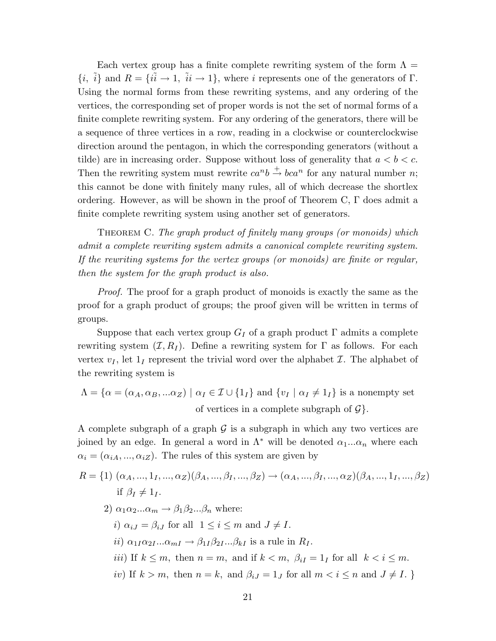Each vertex group has a finite complete rewriting system of the form  $\Lambda =$  ${i, \tilde{i}}$  and  $R = {i\tilde{i} \rightarrow 1, \tilde{i}i \rightarrow 1}$ , where i represents one of the generators of Γ. Using the normal forms from these rewriting systems, and any ordering of the vertices, the corresponding set of proper words is not the set of normal forms of a finite complete rewriting system. For any ordering of the generators, there will be a sequence of three vertices in a row, reading in a clockwise or counterclockwise direction around the pentagon, in which the corresponding generators (without a tilde) are in increasing order. Suppose without loss of generality that  $a < b < c$ . Then the rewriting system must rewrite  $ca^n b \stackrel{+}{\rightarrow} bca^n$  for any natural number *n*; this cannot be done with finitely many rules, all of which decrease the shortlex ordering. However, as will be shown in the proof of Theorem C,  $\Gamma$  does admit a finite complete rewriting system using another set of generators.

Theorem C. The graph product of finitely many groups (or monoids) which admit a complete rewriting system admits a canonical complete rewriting system. If the rewriting systems for the vertex groups (or monoids) are finite or regular, then the system for the graph product is also.

Proof. The proof for a graph product of monoids is exactly the same as the proof for a graph product of groups; the proof given will be written in terms of groups.

Suppose that each vertex group  $G_I$  of a graph product  $\Gamma$  admits a complete rewriting system  $(\mathcal{I}, R_I)$ . Define a rewriting system for  $\Gamma$  as follows. For each vertex  $v_I$ , let  $1_I$  represent the trivial word over the alphabet  $I$ . The alphabet of the rewriting system is

$$
\Lambda = \{ \alpha = (\alpha_A, \alpha_B, ... \alpha_Z) \mid \alpha_I \in \mathcal{I} \cup \{1_I\} \text{ and } \{v_I \mid \alpha_I \neq 1_I\} \text{ is a nonempty set}
$$
  
of vertices in a complete subgraph of  $\mathcal{G} \}.$ 

A complete subgraph of a graph  $\mathcal G$  is a subgraph in which any two vertices are joined by an edge. In general a word in  $\Lambda^*$  will be denoted  $\alpha_1...\alpha_n$  where each  $\alpha_i = (\alpha_{iA}, ..., \alpha_{iZ})$ . The rules of this system are given by

$$
R = \{1\} \ (\alpha_A, ..., 1_I, ..., \alpha_Z)(\beta_A, ..., \beta_I, ..., \beta_Z) \to (\alpha_A, ..., \beta_I, ..., \alpha_Z)(\beta_A, ..., 1_I, ..., \beta_Z)
$$
  
if  $\beta_I \neq 1_I$ .  
2)  $\alpha_1 \alpha_2 ... \alpha_m \to \beta_1 \beta_2 ... \beta_n$  where:  
*i*)  $\alpha_{iJ} = \beta_{iJ}$  for all  $1 \leq i \leq m$  and  $J \neq I$ .  
*ii*)  $\alpha_{1I}\alpha_{2I} ... \alpha_{mI} \to \beta_{1I}\beta_{2I} ... \beta_{kI}$  is a rule in  $R_I$ .  
*iii*) If  $k \leq m$ , then  $n = m$ , and if  $k < m$ ,  $\beta_{iI} = 1_I$  for all  $k < i \leq m$ .  
*iv*) If  $k > m$ , then  $n = k$ , and  $\beta_{iJ} = 1_J$  for all  $m < i \leq n$  and  $J \neq I$ .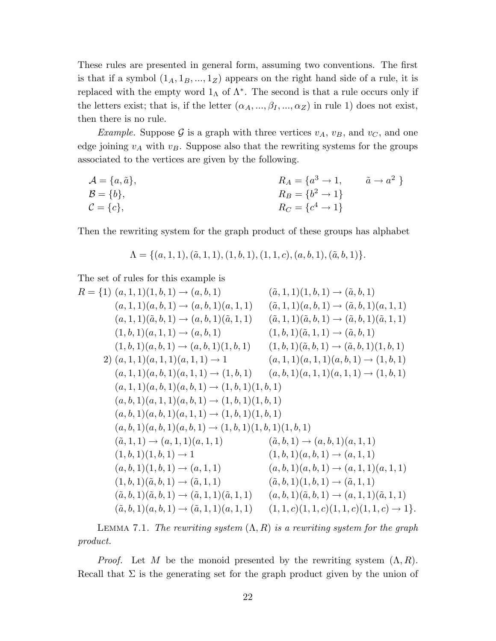These rules are presented in general form, assuming two conventions. The first is that if a symbol  $(1_A, 1_B, ..., 1_Z)$  appears on the right hand side of a rule, it is replaced with the empty word  $1_\Lambda$  of  $\Lambda^*$ . The second is that a rule occurs only if the letters exist; that is, if the letter  $(\alpha_A, ..., \beta_I, ..., \alpha_Z)$  in rule 1) does not exist, then there is no rule.

*Example.* Suppose G is a graph with three vertices  $v_A$ ,  $v_B$ , and  $v_C$ , and one edge joining  $v_A$  with  $v_B$ . Suppose also that the rewriting systems for the groups associated to the vertices are given by the following.

$$
A = \{a, \tilde{a}\},
$$
  
\n
$$
B = \{b\},
$$
  
\n
$$
R_A = \{a^3 \to 1, \tilde{a} \to a^2\}
$$
  
\n
$$
R_B = \{b^2 \to 1\}
$$
  
\n
$$
R_C = \{c^4 \to 1\}
$$

Then the rewriting system for the graph product of these groups has alphabet

$$
\Lambda = \{ (a, 1, 1), (\tilde{a}, 1, 1), (1, b, 1), (1, 1, c), (a, b, 1), (\tilde{a}, b, 1) \}.
$$

The set of rules for this example is

$$
R = \{1\} (a, 1, 1)(1, b, 1) \rightarrow (a, b, 1) \qquad (\tilde{a}, 1, 1)(1, b, 1) \rightarrow (\tilde{a}, b, 1) (a, 1, 1)(\tilde{a}, b, 1) \rightarrow (a, b, 1)(\tilde{a}, 1, 1) \qquad (\tilde{a}, 1, 1)(\tilde{a}, b, 1) \rightarrow (\tilde{a}, b, 1)(\tilde{a}, 1, 1) (a, 1, 1)(\tilde{a}, b, 1) \rightarrow (a, b, 1)(\tilde{a}, 1, 1) \qquad (\tilde{a}, 1, 1)(\tilde{a}, b, 1) \rightarrow (\tilde{a}, b, 1)(\tilde{a}, 1, 1) (1, b, 1)(a, b, 1) \rightarrow (a, b, 1) \qquad (1, b, 1)(\tilde{a}, b, 1) \rightarrow (\tilde{a}, b, 1) (1, b, 1)(a, b, 1) \rightarrow (a, b, 1)(1, b, 1) \qquad (1, b, 1)(\tilde{a}, b, 1) \rightarrow (\tilde{a}, b, 1)(1, b, 1) (a, 1, 1)(a, b, 1)(a, 1, 1) \rightarrow 1 \qquad (a, 1, 1)(a, 1, 1)(a, b, 1) \rightarrow (1, b, 1) (a, 1, 1)(a, b, 1)(a, b, 1) \rightarrow (1, b, 1) \qquad (a, b, 1)(a, 1, 1)(a, b, 1) \rightarrow (1, b, 1) (a, b, 1)(a, b, 1)(a, b, 1) \rightarrow (1, b, 1)(1, b, 1) (a, b, 1)(a, b, 1)(a, b, 1) \rightarrow (1, b, 1)(1, b, 1) (a, b, 1)(a, b, 1)(a, b, 1) \rightarrow (1, b, 1)(1, b, 1) (a, b, 1)(a, b, 1)(a, b, 1) \rightarrow (1, b, 1)(1, b, 1) (a, b, 1)(1, b, 1) \rightarrow 1 \qquad (1, b, 1)(a, b, 1) \rightarrow (a, b, 1)(a
$$

LEMMA 7.1. The rewriting system  $(\Lambda, R)$  is a rewriting system for the graph product.

*Proof.* Let M be the monoid presented by the rewriting system  $(\Lambda, R)$ . Recall that  $\Sigma$  is the generating set for the graph product given by the union of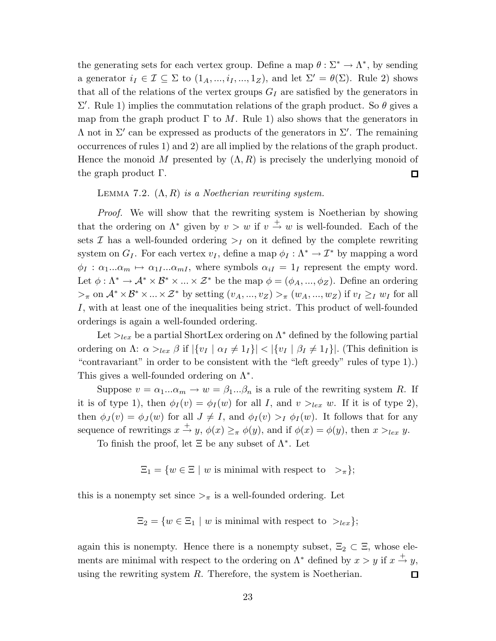the generating sets for each vertex group. Define a map  $\theta : \Sigma^* \to \Lambda^*$ , by sending a generator  $i_I \in \mathcal{I} \subseteq \Sigma$  to  $(1_A, ..., i_I, ..., 1_Z)$ , and let  $\Sigma' = \theta(\Sigma)$ . Rule 2) shows that all of the relations of the vertex groups  $G_I$  are satisfied by the generators in  $\Sigma'$ . Rule 1) implies the commutation relations of the graph product. So θ gives a map from the graph product  $\Gamma$  to M. Rule 1) also shows that the generators in  $Λ$  not in Σ' can be expressed as products of the generators in Σ'. The remaining occurrences of rules 1) and 2) are all implied by the relations of the graph product. Hence the monoid M presented by  $(\Lambda, R)$  is precisely the underlying monoid of the graph product Γ.  $\Box$ 

## LEMMA 7.2.  $(\Lambda, R)$  is a Noetherian rewriting system.

Proof. We will show that the rewriting system is Noetherian by showing that the ordering on  $\Lambda^*$  given by  $v > w$  if  $v \stackrel{+}{\to} w$  is well-founded. Each of the sets  $\mathcal I$  has a well-founded ordering  $\geq_I$  on it defined by the complete rewriting system on  $G_I$ . For each vertex  $v_I$ , define a map  $\phi_I : \Lambda^* \to \mathcal{I}^*$  by mapping a word  $\phi_I : \alpha_1...\alpha_m \mapsto \alpha_{1I}...\alpha_{mI}$ , where symbols  $\alpha_{iI} = 1_I$  represent the empty word. Let  $\phi : \Lambda^* \to \mathcal{A}^* \times \mathcal{B}^* \times \ldots \times \mathcal{Z}^*$  be the map  $\phi = (\phi_A, ..., \phi_Z)$ . Define an ordering  $>_{\pi}$  on  $\mathcal{A}^* \times \mathcal{B}^* \times ... \times \mathcal{Z}^*$  by setting  $(v_A, ..., v_Z) >_{\pi} (w_A, ..., w_Z)$  if  $v_I \geq_I w_I$  for all I, with at least one of the inequalities being strict. This product of well-founded orderings is again a well-founded ordering.

Let  $>_{lex}$  be a partial ShortLex ordering on  $\Lambda^*$  defined by the following partial ordering on Λ:  $\alpha >_{lex} \beta$  if  $|\{v_I \mid \alpha_I \neq 1_I\}| < |\{v_I \mid \beta_I \neq 1_I\}|$ . (This definition is "contravariant" in order to be consistent with the "left greedy" rules of type 1).) This gives a well-founded ordering on  $\Lambda^*$ .

Suppose  $v = \alpha_1...\alpha_m \rightarrow w = \beta_1...\beta_n$  is a rule of the rewriting system R. If it is of type 1), then  $\phi_I(v) = \phi_I(w)$  for all I, and  $v >_{lex} w$ . If it is of type 2), then  $\phi_J(v) = \phi_J(w)$  for all  $J \neq I$ , and  $\phi_I(v) >_I \phi_I(w)$ . It follows that for any sequence of rewritings  $x \stackrel{+}{\rightarrow} y$ ,  $\phi(x) \geq_{\pi} \phi(y)$ , and if  $\phi(x) = \phi(y)$ , then  $x >_{lex} y$ .

To finish the proof, let  $\Xi$  be any subset of  $\Lambda^*$ . Let

$$
\Xi_1 = \{ w \in \Xi \mid w \text{ is minimal with respect to } >_\pi \};
$$

this is a nonempty set since  $\gt_{\pi}$  is a well-founded ordering. Let

 $\Xi_2 = \{w \in \Xi_1 \mid w \text{ is minimal with respect to } >_{lex}\};$ 

again this is nonempty. Hence there is a nonempty subset,  $\Xi_2 \subset \Xi$ , whose elements are minimal with respect to the ordering on  $\Lambda^*$  defined by  $x > y$  if  $x \stackrel{+}{\rightarrow} y$ , using the rewriting system  $R$ . Therefore, the system is Noetherian. 口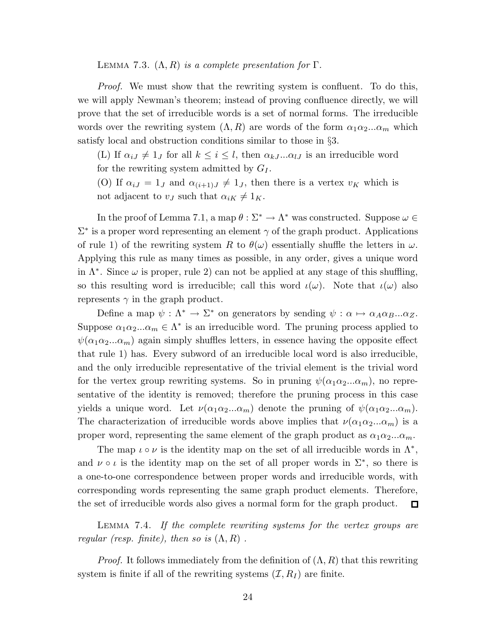LEMMA 7.3.  $(\Lambda, R)$  is a complete presentation for  $\Gamma$ .

*Proof.* We must show that the rewriting system is confluent. To do this, we will apply Newman's theorem; instead of proving confluence directly, we will prove that the set of irreducible words is a set of normal forms. The irreducible words over the rewriting system  $(\Lambda, R)$  are words of the form  $\alpha_1 \alpha_2 ... \alpha_m$  which satisfy local and obstruction conditions similar to those in §3.

(L) If  $\alpha_{iJ} \neq 1_J$  for all  $k \leq i \leq l$ , then  $\alpha_{kJ} \dots \alpha_{lJ}$  is an irreducible word for the rewriting system admitted by  $G_I$ .

(O) If  $\alpha_{iJ} = 1_J$  and  $\alpha_{(i+1)J} \neq 1_J$ , then there is a vertex  $v_K$  which is not adjacent to  $v_J$  such that  $\alpha_{iK} \neq 1_K$ .

In the proof of Lemma 7.1, a map  $\theta : \Sigma^* \to \Lambda^*$  was constructed. Suppose  $\omega \in$  $\Sigma^*$  is a proper word representing an element  $\gamma$  of the graph product. Applications of rule 1) of the rewriting system R to  $\theta(\omega)$  essentially shuffle the letters in  $\omega$ . Applying this rule as many times as possible, in any order, gives a unique word in  $\Lambda^*$ . Since  $\omega$  is proper, rule 2) can not be applied at any stage of this shuffling, so this resulting word is irreducible; call this word  $\iota(\omega)$ . Note that  $\iota(\omega)$  also represents  $\gamma$  in the graph product.

Define a map  $\psi : \Lambda^* \to \Sigma^*$  on generators by sending  $\psi : \alpha \mapsto \alpha_A \alpha_B ... \alpha_Z$ . Suppose  $\alpha_1 \alpha_2 ... \alpha_m \in \Lambda^*$  is an irreducible word. The pruning process applied to  $\psi(\alpha_1\alpha_2...\alpha_m)$  again simply shuffles letters, in essence having the opposite effect that rule 1) has. Every subword of an irreducible local word is also irreducible, and the only irreducible representative of the trivial element is the trivial word for the vertex group rewriting systems. So in pruning  $\psi(\alpha_1\alpha_2...\alpha_m)$ , no representative of the identity is removed; therefore the pruning process in this case yields a unique word. Let  $\nu(\alpha_1\alpha_2...\alpha_m)$  denote the pruning of  $\psi(\alpha_1\alpha_2...\alpha_m)$ . The characterization of irreducible words above implies that  $\nu(\alpha_1\alpha_2...\alpha_m)$  is a proper word, representing the same element of the graph product as  $\alpha_1 \alpha_2 ... \alpha_m$ .

The map  $\iota \circ \nu$  is the identity map on the set of all irreducible words in  $\Lambda^*$ , and  $\nu \circ \iota$  is the identity map on the set of all proper words in  $\Sigma^*$ , so there is a one-to-one correspondence between proper words and irreducible words, with corresponding words representing the same graph product elements. Therefore, the set of irreducible words also gives a normal form for the graph product.  $\Box$ 

Lemma 7.4. If the complete rewriting systems for the vertex groups are regular (resp. finite), then so is  $(\Lambda, R)$ .

*Proof.* It follows immediately from the definition of  $(\Lambda, R)$  that this rewriting system is finite if all of the rewriting systems  $(\mathcal{I}, R_I)$  are finite.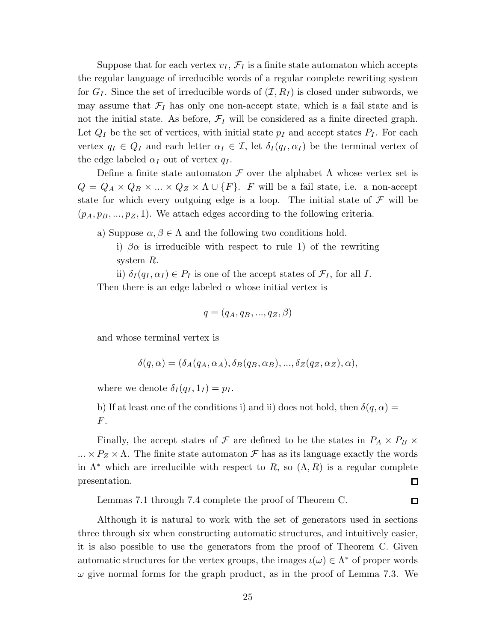Suppose that for each vertex  $v_I$ ,  $\mathcal{F}_I$  is a finite state automaton which accepts the regular language of irreducible words of a regular complete rewriting system for  $G_I$ . Since the set of irreducible words of  $(\mathcal{I}, R_I)$  is closed under subwords, we may assume that  $\mathcal{F}_I$  has only one non-accept state, which is a fail state and is not the initial state. As before,  $\mathcal{F}_I$  will be considered as a finite directed graph. Let  $Q_I$  be the set of vertices, with initial state  $p_I$  and accept states  $P_I$ . For each vertex  $q_I \in Q_I$  and each letter  $\alpha_I \in \mathcal{I}$ , let  $\delta_I(q_I, \alpha_I)$  be the terminal vertex of the edge labeled  $\alpha_I$  out of vertex  $q_I$ .

Define a finite state automaton  $\mathcal F$  over the alphabet  $\Lambda$  whose vertex set is  $Q = Q_A \times Q_B \times ... \times Q_Z \times \Lambda \cup \{F\}.$  F will be a fail state, i.e. a non-accept state for which every outgoing edge is a loop. The initial state of  $\mathcal F$  will be  $(p_A, p_B, \ldots, p_Z, 1)$ . We attach edges according to the following criteria.

a) Suppose  $\alpha, \beta \in \Lambda$  and the following two conditions hold.

i)  $\beta \alpha$  is irreducible with respect to rule 1) of the rewriting system R.

ii)  $\delta_I(q_I, \alpha_I) \in P_I$  is one of the accept states of  $\mathcal{F}_I$ , for all I.

Then there is an edge labeled  $\alpha$  whose initial vertex is

$$
q = (q_A, q_B, ..., q_Z, \beta)
$$

and whose terminal vertex is

$$
\delta(q,\alpha) = (\delta_A(q_A,\alpha_A), \delta_B(q_B,\alpha_B), ..., \delta_Z(q_Z,\alpha_Z), \alpha),
$$

where we denote  $\delta_I(q_I, 1_I) = p_I$ .

b) If at least one of the conditions i) and ii) does not hold, then  $\delta(q, \alpha) =$  $F.$ 

Finally, the accept states of  $\mathcal F$  are defined to be the states in  $P_A \times P_B \times$  $... \times P_Z \times \Lambda$ . The finite state automaton F has as its language exactly the words in  $\Lambda^*$  which are irreducible with respect to R, so  $(\Lambda, R)$  is a regular complete presentation.  $\Box$ 

 $\Box$ 

Lemmas 7.1 through 7.4 complete the proof of Theorem C.

Although it is natural to work with the set of generators used in sections three through six when constructing automatic structures, and intuitively easier, it is also possible to use the generators from the proof of Theorem C. Given automatic structures for the vertex groups, the images  $\iota(\omega) \in \Lambda^*$  of proper words  $\omega$  give normal forms for the graph product, as in the proof of Lemma 7.3. We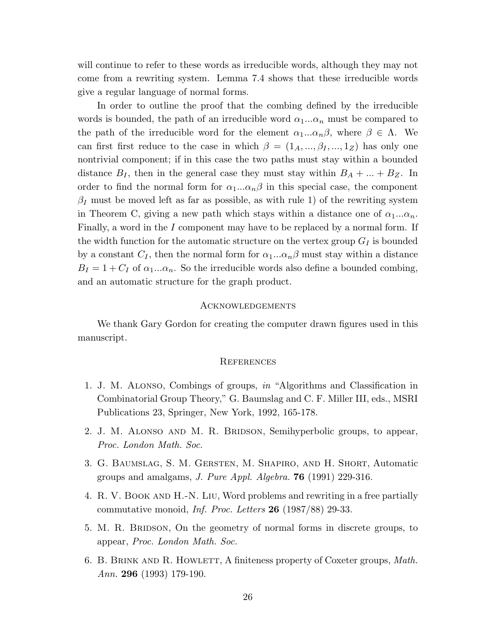will continue to refer to these words as irreducible words, although they may not come from a rewriting system. Lemma 7.4 shows that these irreducible words give a regular language of normal forms.

In order to outline the proof that the combing defined by the irreducible words is bounded, the path of an irreducible word  $\alpha_1...\alpha_n$  must be compared to the path of the irreducible word for the element  $\alpha_1...\alpha_n\beta$ , where  $\beta \in \Lambda$ . We can first first reduce to the case in which  $\beta = (1_A, ..., \beta_I, ..., 1_Z)$  has only one nontrivial component; if in this case the two paths must stay within a bounded distance  $B_I$ , then in the general case they must stay within  $B_A + ... + B_Z$ . In order to find the normal form for  $\alpha_1...\alpha_n\beta$  in this special case, the component  $\beta_I$  must be moved left as far as possible, as with rule 1) of the rewriting system in Theorem C, giving a new path which stays within a distance one of  $\alpha_1...\alpha_n$ . Finally, a word in the I component may have to be replaced by a normal form. If the width function for the automatic structure on the vertex group  $G_I$  is bounded by a constant  $C_I$ , then the normal form for  $\alpha_1...\alpha_n\beta$  must stay within a distance  $B_I = 1 + C_I$  of  $\alpha_1...\alpha_n$ . So the irreducible words also define a bounded combing, and an automatic structure for the graph product.

#### **ACKNOWLEDGEMENTS**

We thank Gary Gordon for creating the computer drawn figures used in this manuscript.

#### **REFERENCES**

- 1. J. M. Alonso, Combings of groups, in "Algorithms and Classification in Combinatorial Group Theory," G. Baumslag and C. F. Miller III, eds., MSRI Publications 23, Springer, New York, 1992, 165-178.
- 2. J. M. ALONSO AND M. R. BRIDSON, Semihyperbolic groups, to appear, Proc. London Math. Soc.
- 3. G. Baumslag, S. M. Gersten, M. Shapiro, and H. Short, Automatic groups and amalgams, *J. Pure Appl. Algebra*. **76** (1991) 229-316.
- 4. R. V. BOOK AND H.-N. LIU, Word problems and rewriting in a free partially commutative monoid, *Inf. Proc. Letters*  $26$  (1987/88) 29-33.
- 5. M. R. BRIDSON, On the geometry of normal forms in discrete groups, to appear, Proc. London Math. Soc.
- 6. B. BRINK AND R. HOWLETT, A finiteness property of Coxeter groups, Math. Ann. 296 (1993) 179-190.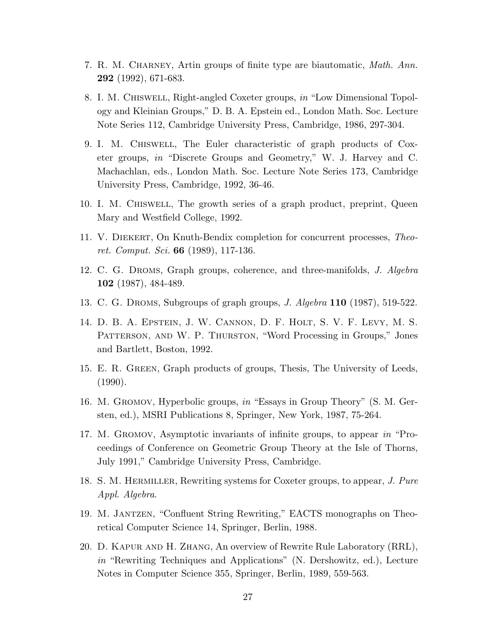- 7. R. M. CHARNEY, Artin groups of finite type are biautomatic, *Math. Ann.* 292 (1992), 671-683.
- 8. I. M. Chiswell, Right-angled Coxeter groups, in "Low Dimensional Topology and Kleinian Groups," D. B. A. Epstein ed., London Math. Soc. Lecture Note Series 112, Cambridge University Press, Cambridge, 1986, 297-304.
- 9. I. M. Chiswell, The Euler characteristic of graph products of Coxeter groups, in "Discrete Groups and Geometry," W. J. Harvey and C. Machachlan, eds., London Math. Soc. Lecture Note Series 173, Cambridge University Press, Cambridge, 1992, 36-46.
- 10. I. M. Chiswell, The growth series of a graph product, preprint, Queen Mary and Westfield College, 1992.
- 11. V. Diekert, On Knuth-Bendix completion for concurrent processes, Theoret. Comput. Sci. 66 (1989), 117-136.
- 12. C. G. Droms, Graph groups, coherence, and three-manifolds, J. Algebra 102 (1987), 484-489.
- 13. C. G. Droms, Subgroups of graph groups, J. Algebra 110 (1987), 519-522.
- 14. D. B. A. Epstein, J. W. Cannon, D. F. Holt, S. V. F. Levy, M. S. Patterson, and W. P. Thurston, "Word Processing in Groups," Jones and Bartlett, Boston, 1992.
- 15. E. R. Green, Graph products of groups, Thesis, The University of Leeds, (1990).
- 16. M. Gromov, Hyperbolic groups, in "Essays in Group Theory" (S. M. Gersten, ed.), MSRI Publications 8, Springer, New York, 1987, 75-264.
- 17. M. Gromov, Asymptotic invariants of infinite groups, to appear in "Proceedings of Conference on Geometric Group Theory at the Isle of Thorns, July 1991," Cambridge University Press, Cambridge.
- 18. S. M. Hermiller, Rewriting systems for Coxeter groups, to appear, J. Pure Appl. Algebra.
- 19. M. Jantzen, "Confluent String Rewriting," EACTS monographs on Theoretical Computer Science 14, Springer, Berlin, 1988.
- 20. D. Kapur and H. Zhang, An overview of Rewrite Rule Laboratory (RRL), in "Rewriting Techniques and Applications" (N. Dershowitz, ed.), Lecture Notes in Computer Science 355, Springer, Berlin, 1989, 559-563.